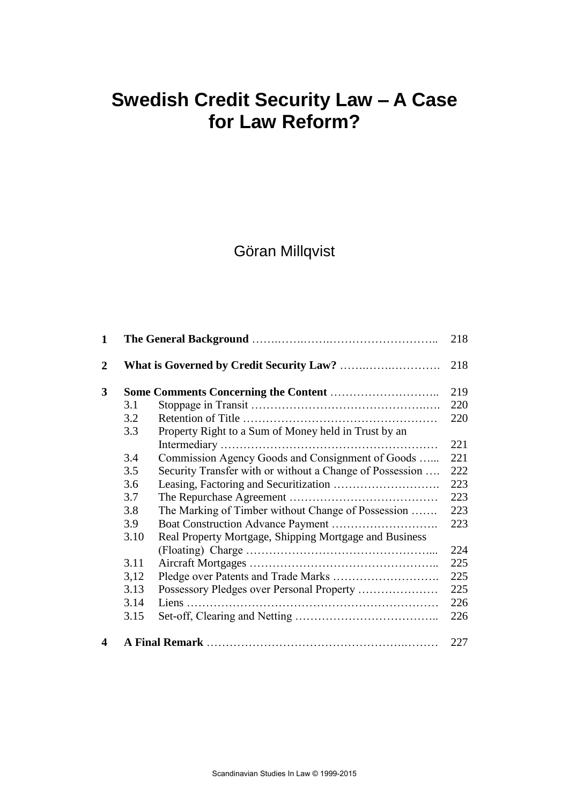# **Swedish Credit Security Law – A Case for Law Reform?**

# Göran Millqvist

| 1              |      |                                                          | 218        |
|----------------|------|----------------------------------------------------------|------------|
| $\overline{2}$ |      |                                                          | 218<br>219 |
| 3              |      |                                                          |            |
|                | 3.1  |                                                          | 220        |
|                | 3.2  |                                                          | 220        |
|                | 3.3  | Property Right to a Sum of Money held in Trust by an     |            |
|                |      |                                                          | 221        |
|                | 3.4  | Commission Agency Goods and Consignment of Goods         | 221        |
|                | 3.5  | Security Transfer with or without a Change of Possession | 222        |
|                | 3.6  |                                                          | 223        |
|                | 3.7  |                                                          | 223        |
|                | 3.8  | The Marking of Timber without Change of Possession       | 223        |
|                | 3.9  |                                                          | 223        |
|                | 3.10 | Real Property Mortgage, Shipping Mortgage and Business   |            |
|                |      |                                                          | 224        |
|                | 3.11 |                                                          | 225        |
|                | 3,12 |                                                          | 225        |
|                | 3.13 |                                                          | 225        |
|                | 3.14 |                                                          | 226        |
|                | 3.15 |                                                          | 226        |
| 4              |      |                                                          | 227        |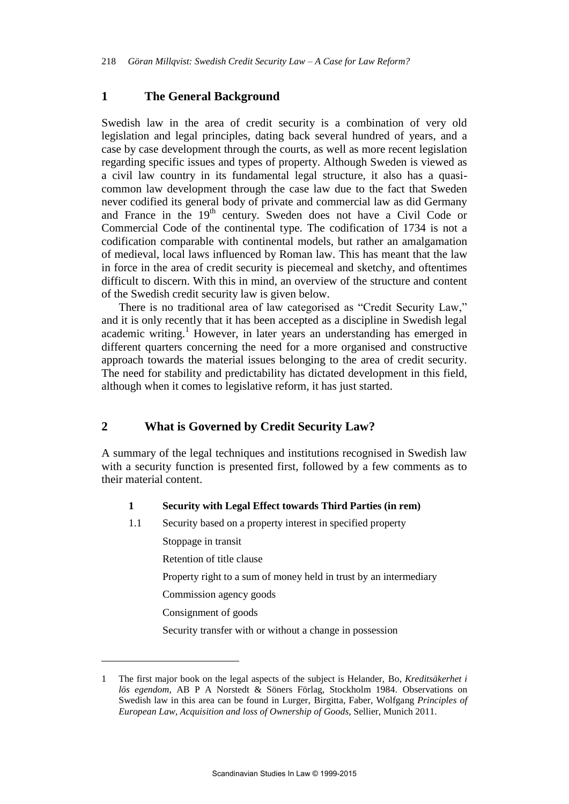## **1 The General Background**

Swedish law in the area of credit security is a combination of very old legislation and legal principles, dating back several hundred of years, and a case by case development through the courts, as well as more recent legislation regarding specific issues and types of property. Although Sweden is viewed as a civil law country in its fundamental legal structure, it also has a quasicommon law development through the case law due to the fact that Sweden never codified its general body of private and commercial law as did Germany and France in the 19<sup>th</sup> century. Sweden does not have a Civil Code or Commercial Code of the continental type. The codification of 1734 is not a codification comparable with continental models, but rather an amalgamation of medieval, local laws influenced by Roman law. This has meant that the law in force in the area of credit security is piecemeal and sketchy, and oftentimes difficult to discern. With this in mind, an overview of the structure and content of the Swedish credit security law is given below.

There is no traditional area of law categorised as "Credit Security Law," and it is only recently that it has been accepted as a discipline in Swedish legal academic writing.<sup>1</sup> However, in later years an understanding has emerged in different quarters concerning the need for a more organised and constructive approach towards the material issues belonging to the area of credit security. The need for stability and predictability has dictated development in this field, although when it comes to legislative reform, it has just started.

# **2 What is Governed by Credit Security Law?**

A summary of the legal techniques and institutions recognised in Swedish law with a security function is presented first, followed by a few comments as to their material content.

#### **1 Security with Legal Effect towards Third Parties (in rem)**

1.1 Security based on a property interest in specified property

Stoppage in transit

Retention of title clause

Property right to a sum of money held in trust by an intermediary

Commission agency goods

Consignment of goods

 $\overline{a}$ 

Security transfer with or without a change in possession

<sup>1</sup> The first major book on the legal aspects of the subject is Helander, Bo, *Kreditsäkerhet i lös egendom,* AB P A Norstedt & Söners Förlag, Stockholm 1984. Observations on Swedish law in this area can be found in Lurger, Birgitta, Faber, Wolfgang *Principles of European Law, Acquisition and loss of Ownership of Goods,* Sellier, Munich 2011.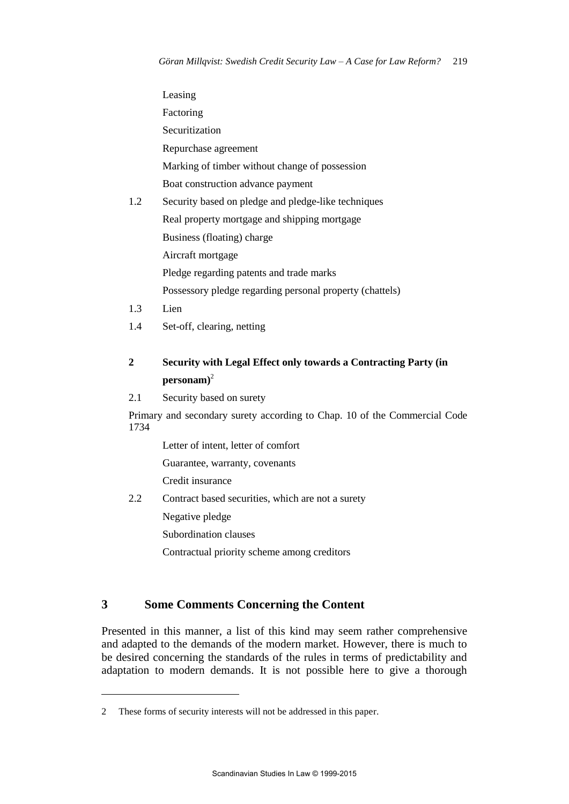Leasing Factoring Securitization Repurchase agreement Marking of timber without change of possession Boat construction advance payment 1.2 Security based on pledge and pledge-like techniques Real property mortgage and shipping mortgage Business (floating) charge Aircraft mortgage Pledge regarding patents and trade marks Possessory pledge regarding personal property (chattels)

1.3 Lien

 $\overline{a}$ 

1.4 Set-off, clearing, netting

# **2 Security with Legal Effect only towards a Contracting Party (in personam)**<sup>2</sup>

#### 2.1 Security based on surety

Primary and secondary surety according to Chap. 10 of the Commercial Code 1734

Letter of intent, letter of comfort

Guarantee, warranty, covenants

Credit insurance

2.2 Contract based securities, which are not a surety

Negative pledge

Subordination clauses

Contractual priority scheme among creditors

# **3 Some Comments Concerning the Content**

Presented in this manner, a list of this kind may seem rather comprehensive and adapted to the demands of the modern market. However, there is much to be desired concerning the standards of the rules in terms of predictability and adaptation to modern demands. It is not possible here to give a thorough

<sup>2</sup> These forms of security interests will not be addressed in this paper.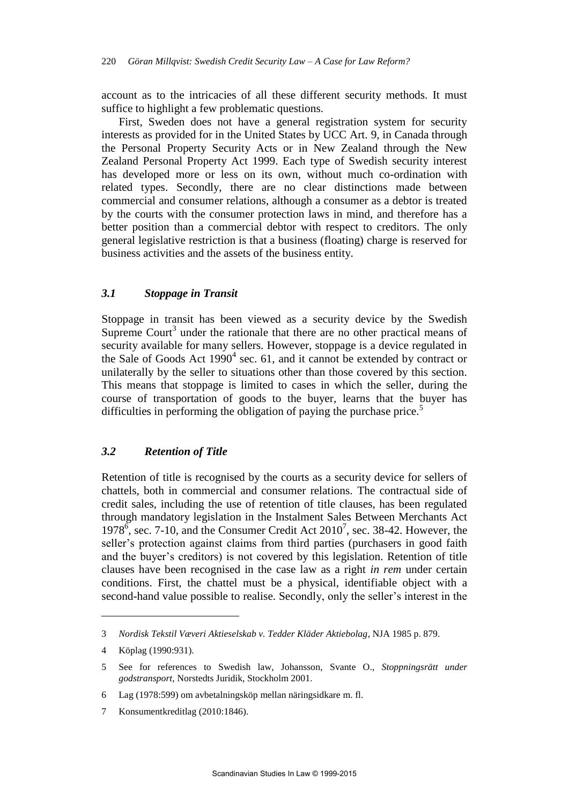account as to the intricacies of all these different security methods. It must suffice to highlight a few problematic questions.

First, Sweden does not have a general registration system for security interests as provided for in the United States by UCC Art. 9, in Canada through the Personal Property Security Acts or in New Zealand through the New Zealand Personal Property Act 1999. Each type of Swedish security interest has developed more or less on its own, without much co-ordination with related types. Secondly, there are no clear distinctions made between commercial and consumer relations, although a consumer as a debtor is treated by the courts with the consumer protection laws in mind, and therefore has a better position than a commercial debtor with respect to creditors. The only general legislative restriction is that a business (floating) charge is reserved for business activities and the assets of the business entity.

### *3.1 Stoppage in Transit*

Stoppage in transit has been viewed as a security device by the Swedish Supreme Court<sup>3</sup> under the rationale that there are no other practical means of security available for many sellers. However, stoppage is a device regulated in the Sale of Goods Act  $1990^4$  sec. 61, and it cannot be extended by contract or unilaterally by the seller to situations other than those covered by this section. This means that stoppage is limited to cases in which the seller, during the course of transportation of goods to the buyer, learns that the buyer has difficulties in performing the obligation of paying the purchase price.<sup>5</sup>

### *3.2 Retention of Title*

Retention of title is recognised by the courts as a security device for sellers of chattels, both in commercial and consumer relations. The contractual side of credit sales, including the use of retention of title clauses, has been regulated through mandatory legislation in the Instalment Sales Between Merchants Act 1978 $\frac{1}{6}$ , sec. 7-10, and the Consumer Credit Act 2010<sup>7</sup>, sec. 38-42. However, the seller's protection against claims from third parties (purchasers in good faith and the buyer's creditors) is not covered by this legislation. Retention of title clauses have been recognised in the case law as a right *in rem* under certain conditions. First, the chattel must be a physical, identifiable object with a second-hand value possible to realise. Secondly, only the seller's interest in the

<sup>3</sup> *Nordisk Tekstil Væveri Aktieselskab v. Tedder Kläder Aktiebolag*, NJA 1985 p. 879.

<sup>4</sup> Köplag (1990:931).

<sup>5</sup> See for references to Swedish law, Johansson, Svante O., *Stoppningsrätt under godstransport,* Norstedts Juridik, Stockholm 2001.

<sup>6</sup> Lag (1978:599) om avbetalningsköp mellan näringsidkare m. fl.

<sup>7</sup> Konsumentkreditlag (2010:1846).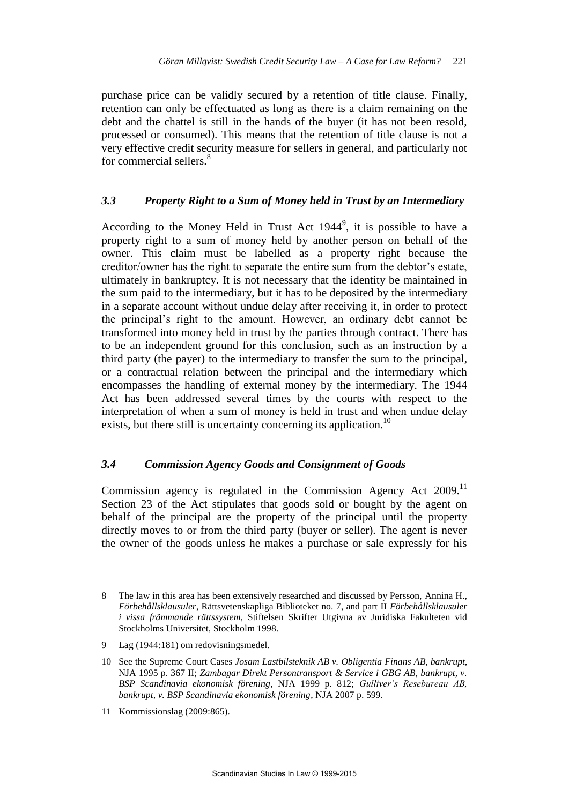purchase price can be validly secured by a retention of title clause. Finally, retention can only be effectuated as long as there is a claim remaining on the debt and the chattel is still in the hands of the buyer (it has not been resold, processed or consumed). This means that the retention of title clause is not a very effective credit security measure for sellers in general, and particularly not for commercial sellers.<sup>8</sup>

# *3.3 Property Right to a Sum of Money held in Trust by an Intermediary*

According to the Money Held in Trust Act  $1944^9$ , it is possible to have a property right to a sum of money held by another person on behalf of the owner. This claim must be labelled as a property right because the creditor/owner has the right to separate the entire sum from the debtor's estate, ultimately in bankruptcy. It is not necessary that the identity be maintained in the sum paid to the intermediary, but it has to be deposited by the intermediary in a separate account without undue delay after receiving it, in order to protect the principal's right to the amount. However, an ordinary debt cannot be transformed into money held in trust by the parties through contract. There has to be an independent ground for this conclusion, such as an instruction by a third party (the payer) to the intermediary to transfer the sum to the principal, or a contractual relation between the principal and the intermediary which encompasses the handling of external money by the intermediary. The 1944 Act has been addressed several times by the courts with respect to the interpretation of when a sum of money is held in trust and when undue delay exists, but there still is uncertainty concerning its application.<sup>10</sup>

# *3.4 Commission Agency Goods and Consignment of Goods*

Commission agency is regulated in the Commission Agency Act 2009.<sup>11</sup> Section 23 of the Act stipulates that goods sold or bought by the agent on behalf of the principal are the property of the principal until the property directly moves to or from the third party (buyer or seller). The agent is never the owner of the goods unless he makes a purchase or sale expressly for his

<sup>8</sup> The law in this area has been extensively researched and discussed by Persson, Annina H., *Förbehållsklausuler,* Rättsvetenskapliga Biblioteket no. 7, and part II *Förbehållsklausuler i vissa främmande rättssystem,* Stiftelsen Skrifter Utgivna av Juridiska Fakulteten vid Stockholms Universitet, Stockholm 1998.

<sup>9</sup> Lag (1944:181) om redovisningsmedel.

<sup>10</sup> See the Supreme Court Cases *Josam Lastbilsteknik AB v. Obligentia Finans AB, bankrupt,*  NJA 1995 p. 367 II; *Zambagar Direkt Persontransport & Service i GBG AB, bankrupt, v. BSP Scandinavia ekonomisk förening*, NJA 1999 p. 812; *Gulliver's Resebureau AB, bankrupt, v. BSP Scandinavia ekonomisk förening*, NJA 2007 p. 599.

<sup>11</sup> Kommissionslag (2009:865).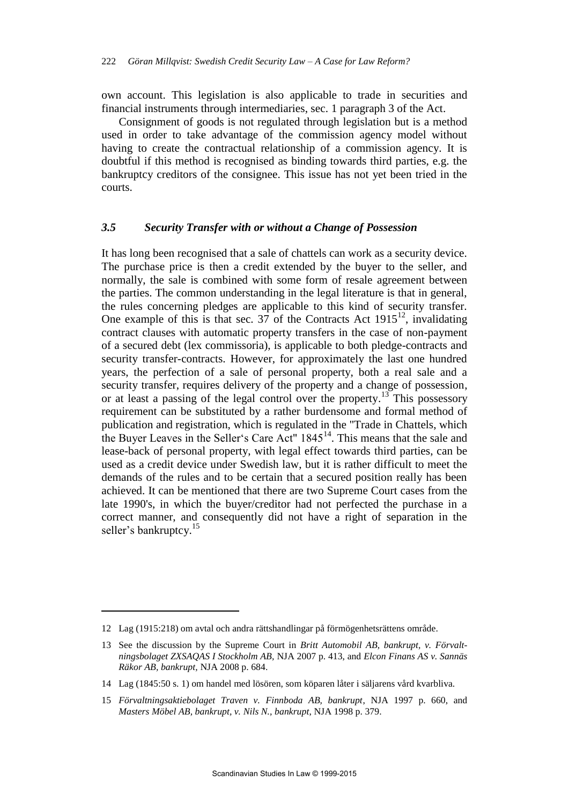own account. This legislation is also applicable to trade in securities and financial instruments through intermediaries, sec. 1 paragraph 3 of the Act.

Consignment of goods is not regulated through legislation but is a method used in order to take advantage of the commission agency model without having to create the contractual relationship of a commission agency. It is doubtful if this method is recognised as binding towards third parties, e.g. the bankruptcy creditors of the consignee. This issue has not yet been tried in the courts.

# *3.5 Security Transfer with or without a Change of Possession*

It has long been recognised that a sale of chattels can work as a security device. The purchase price is then a credit extended by the buyer to the seller, and normally, the sale is combined with some form of resale agreement between the parties. The common understanding in the legal literature is that in general, the rules concerning pledges are applicable to this kind of security transfer. One example of this is that sec. 37 of the Contracts Act  $1915^{12}$ , invalidating contract clauses with automatic property transfers in the case of non-payment of a secured debt (lex commissoria), is applicable to both pledge-contracts and security transfer-contracts. However, for approximately the last one hundred years, the perfection of a sale of personal property, both a real sale and a security transfer, requires delivery of the property and a change of possession, or at least a passing of the legal control over the property.<sup>13</sup> This possessory requirement can be substituted by a rather burdensome and formal method of publication and registration, which is regulated in the "Trade in Chattels, which the Buyer Leaves in the Seller's Care Act" 1845<sup>14</sup>. This means that the sale and lease-back of personal property, with legal effect towards third parties, can be used as a credit device under Swedish law, but it is rather difficult to meet the demands of the rules and to be certain that a secured position really has been achieved. It can be mentioned that there are two Supreme Court cases from the late 1990's, in which the buyer/creditor had not perfected the purchase in a correct manner, and consequently did not have a right of separation in the seller's bankruptcy.<sup>15</sup>

<sup>12</sup> Lag (1915:218) om avtal och andra rättshandlingar på förmögenhetsrättens område.

<sup>13</sup> See the discussion by the Supreme Court in *Britt Automobil AB, bankrupt, v. Förvaltningsbolaget ZXSAQAS I Stockholm AB,* NJA 2007 p. 413, and *Elcon Finans AS v. Sannäs Räkor AB, bankrupt,* NJA 2008 p. 684.

<sup>14</sup> Lag (1845:50 s. 1) om handel med lösören, som köparen låter i säljarens vård kvarbliva.

<sup>15</sup> *Förvaltningsaktiebolaget Traven v. Finnboda AB, bankrupt*, NJA 1997 p. 660, and *Masters Möbel AB, bankrupt, v. Nils N., bankrupt*, NJA 1998 p. 379.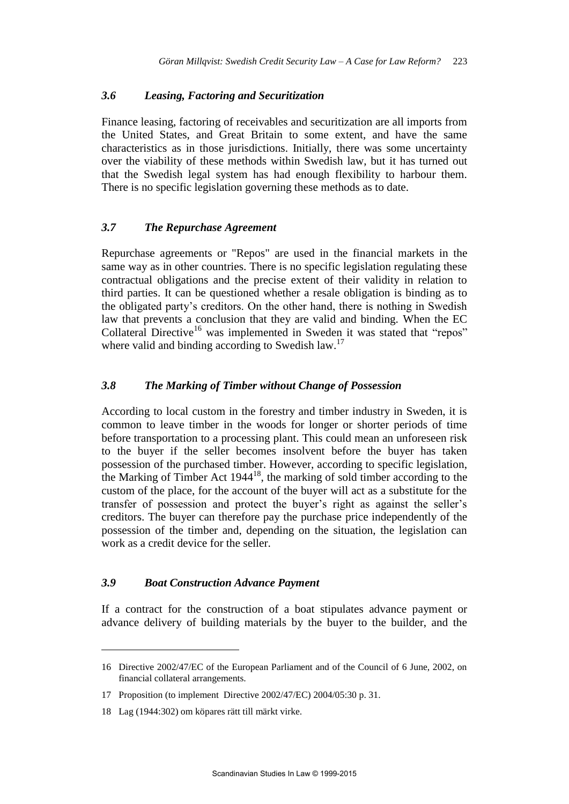# *3.6 Leasing, Factoring and Securitization*

Finance leasing, factoring of receivables and securitization are all imports from the United States, and Great Britain to some extent, and have the same characteristics as in those jurisdictions. Initially, there was some uncertainty over the viability of these methods within Swedish law, but it has turned out that the Swedish legal system has had enough flexibility to harbour them. There is no specific legislation governing these methods as to date.

# *3.7 The Repurchase Agreement*

Repurchase agreements or "Repos" are used in the financial markets in the same way as in other countries. There is no specific legislation regulating these contractual obligations and the precise extent of their validity in relation to third parties. It can be questioned whether a resale obligation is binding as to the obligated party's creditors. On the other hand, there is nothing in Swedish law that prevents a conclusion that they are valid and binding. When the EC Collateral Directive<sup>16</sup> was implemented in Sweden it was stated that "repos" where valid and binding according to Swedish law.<sup>17</sup>

# *3.8 The Marking of Timber without Change of Possession*

According to local custom in the forestry and timber industry in Sweden, it is common to leave timber in the woods for longer or shorter periods of time before transportation to a processing plant. This could mean an unforeseen risk to the buyer if the seller becomes insolvent before the buyer has taken possession of the purchased timber. However, according to specific legislation, the Marking of Timber Act  $1944^{18}$ , the marking of sold timber according to the custom of the place, for the account of the buyer will act as a substitute for the transfer of possession and protect the buyer's right as against the seller's creditors. The buyer can therefore pay the purchase price independently of the possession of the timber and, depending on the situation, the legislation can work as a credit device for the seller.

# *3.9 Boat Construction Advance Payment*

If a contract for the construction of a boat stipulates advance payment or advance delivery of building materials by the buyer to the builder, and the

<sup>16</sup> Directive 2002/47/EC of the European Parliament and of the Council of 6 June, 2002, on financial collateral arrangements.

<sup>17</sup> Proposition (to implement Directive 2002/47/EC) 2004/05:30 p. 31.

<sup>18</sup> Lag (1944:302) om köpares rätt till märkt virke.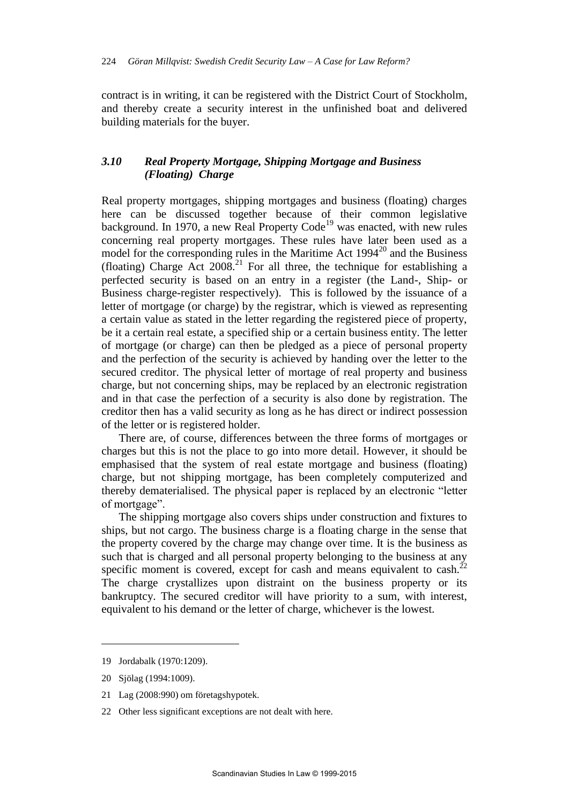contract is in writing, it can be registered with the District Court of Stockholm, and thereby create a security interest in the unfinished boat and delivered building materials for the buyer.

# *3.10 Real Property Mortgage, Shipping Mortgage and Business (Floating) Charge*

Real property mortgages, shipping mortgages and business (floating) charges here can be discussed together because of their common legislative background. In 1970, a new Real Property  $Code<sup>19</sup>$  was enacted, with new rules concerning real property mortgages. These rules have later been used as a model for the corresponding rules in the Maritime Act  $1994^{20}$  and the Business (floating) Charge Act  $2008<sup>21</sup>$  For all three, the technique for establishing a perfected security is based on an entry in a register (the Land-, Ship- or Business charge-register respectively). This is followed by the issuance of a letter of mortgage (or charge) by the registrar, which is viewed as representing a certain value as stated in the letter regarding the registered piece of property, be it a certain real estate, a specified ship or a certain business entity. The letter of mortgage (or charge) can then be pledged as a piece of personal property and the perfection of the security is achieved by handing over the letter to the secured creditor. The physical letter of mortage of real property and business charge, but not concerning ships, may be replaced by an electronic registration and in that case the perfection of a security is also done by registration. The creditor then has a valid security as long as he has direct or indirect possession of the letter or is registered holder.

There are, of course, differences between the three forms of mortgages or charges but this is not the place to go into more detail. However, it should be emphasised that the system of real estate mortgage and business (floating) charge, but not shipping mortgage, has been completely computerized and thereby dematerialised. The physical paper is replaced by an electronic "letter of mortgage".

The shipping mortgage also covers ships under construction and fixtures to ships, but not cargo. The business charge is a floating charge in the sense that the property covered by the charge may change over time. It is the business as such that is charged and all personal property belonging to the business at any specific moment is covered, except for cash and means equivalent to cash.<sup>22</sup> The charge crystallizes upon distraint on the business property or its bankruptcy. The secured creditor will have priority to a sum, with interest, equivalent to his demand or the letter of charge, whichever is the lowest.

<sup>19</sup> Jordabalk (1970:1209).

<sup>20</sup> Sjölag (1994:1009).

<sup>21</sup> Lag (2008:990) om företagshypotek.

<sup>22</sup> Other less significant exceptions are not dealt with here.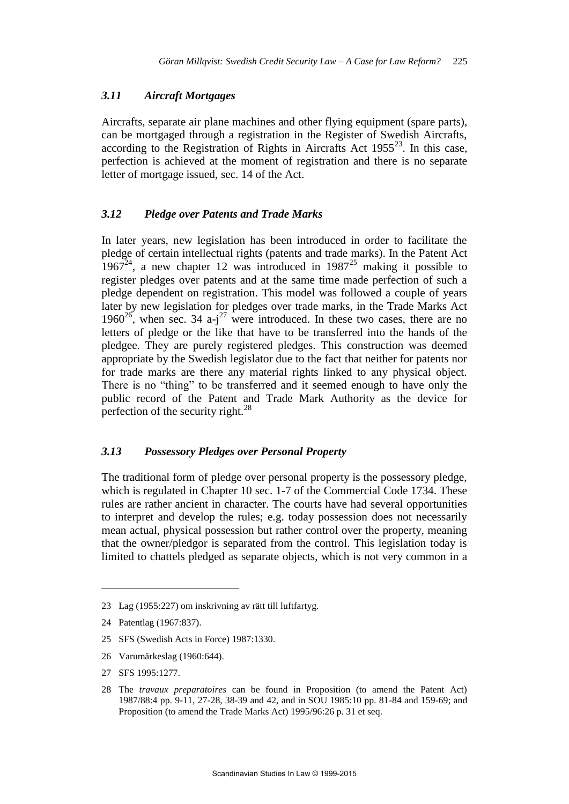### *3.11 Aircraft Mortgages*

Aircrafts, separate air plane machines and other flying equipment (spare parts), can be mortgaged through a registration in the Register of Swedish Aircrafts, according to the Registration of Rights in Aircrafts Act  $1955^{23}$ . In this case, perfection is achieved at the moment of registration and there is no separate letter of mortgage issued, sec. 14 of the Act.

# *3.12 Pledge over Patents and Trade Marks*

In later years, new legislation has been introduced in order to facilitate the pledge of certain intellectual rights (patents and trade marks). In the Patent Act  $1967<sup>24</sup>$ , a new chapter 12 was introduced in  $1987<sup>25</sup>$  making it possible to register pledges over patents and at the same time made perfection of such a pledge dependent on registration. This model was followed a couple of years later by new legislation for pledges over trade marks, in the Trade Marks Act 1960 $26$ , when sec. 34 a-j<sup>27</sup> were introduced. In these two cases, there are no letters of pledge or the like that have to be transferred into the hands of the pledgee. They are purely registered pledges. This construction was deemed appropriate by the Swedish legislator due to the fact that neither for patents nor for trade marks are there any material rights linked to any physical object. There is no "thing" to be transferred and it seemed enough to have only the public record of the Patent and Trade Mark Authority as the device for perfection of the security right. $^{28}$ 

## *3.13 Possessory Pledges over Personal Property*

The traditional form of pledge over personal property is the possessory pledge, which is regulated in Chapter 10 sec. 1-7 of the Commercial Code 1734. These rules are rather ancient in character. The courts have had several opportunities to interpret and develop the rules; e.g. today possession does not necessarily mean actual, physical possession but rather control over the property, meaning that the owner/pledgor is separated from the control. This legislation today is limited to chattels pledged as separate objects, which is not very common in a

- 25 SFS (Swedish Acts in Force) 1987:1330.
- 26 Varumärkeslag (1960:644).
- 27 SFS 1995:1277.

<sup>23</sup> Lag (1955:227) om inskrivning av rätt till luftfartyg.

<sup>24</sup> Patentlag (1967:837).

<sup>28</sup> The *travaux preparatoires* can be found in Proposition (to amend the Patent Act) 1987/88:4 pp. 9-11, 27-28, 38-39 and 42, and in SOU 1985:10 pp. 81-84 and 159-69; and Proposition (to amend the Trade Marks Act) 1995/96:26 p. 31 et seq.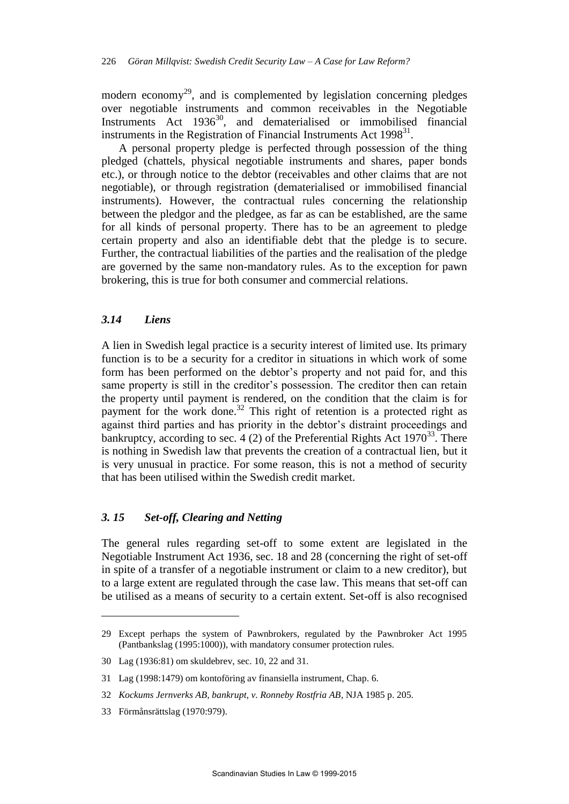modern economy<sup>29</sup>, and is complemented by legislation concerning pledges over negotiable instruments and common receivables in the Negotiable Instruments Act  $1936^{30}$ , and dematerialised or immobilised financial instruments in the Registration of Financial Instruments Act  $1998^{31}$ .

A personal property pledge is perfected through possession of the thing pledged (chattels, physical negotiable instruments and shares, paper bonds etc.), or through notice to the debtor (receivables and other claims that are not negotiable), or through registration (dematerialised or immobilised financial instruments). However, the contractual rules concerning the relationship between the pledgor and the pledgee, as far as can be established, are the same for all kinds of personal property. There has to be an agreement to pledge certain property and also an identifiable debt that the pledge is to secure. Further, the contractual liabilities of the parties and the realisation of the pledge are governed by the same non-mandatory rules. As to the exception for pawn brokering, this is true for both consumer and commercial relations.

# *3.14 Liens*

A lien in Swedish legal practice is a security interest of limited use. Its primary function is to be a security for a creditor in situations in which work of some form has been performed on the debtor's property and not paid for, and this same property is still in the creditor's possession. The creditor then can retain the property until payment is rendered, on the condition that the claim is for payment for the work done.<sup>32</sup> This right of retention is a protected right as against third parties and has priority in the debtor's distraint proceedings and bankruptcy, according to sec. 4 (2) of the Preferential Rights Act  $1970^{33}$ . There is nothing in Swedish law that prevents the creation of a contractual lien, but it is very unusual in practice. For some reason, this is not a method of security that has been utilised within the Swedish credit market.

## *3. 15 Set-off, Clearing and Netting*

The general rules regarding set-off to some extent are legislated in the Negotiable Instrument Act 1936, sec. 18 and 28 (concerning the right of set-off in spite of a transfer of a negotiable instrument or claim to a new creditor), but to a large extent are regulated through the case law. This means that set-off can be utilised as a means of security to a certain extent. Set-off is also recognised

<sup>29</sup> Except perhaps the system of Pawnbrokers, regulated by the Pawnbroker Act 1995 (Pantbankslag (1995:1000)), with mandatory consumer protection rules.

<sup>30</sup> Lag (1936:81) om skuldebrev, sec. 10, 22 and 31.

<sup>31</sup> Lag (1998:1479) om kontoföring av finansiella instrument, Chap. 6.

<sup>32</sup> *Kockums Jernverks AB, bankrupt, v. Ronneby Rostfria AB*, NJA 1985 p. 205.

<sup>33</sup> Förmånsrättslag (1970:979).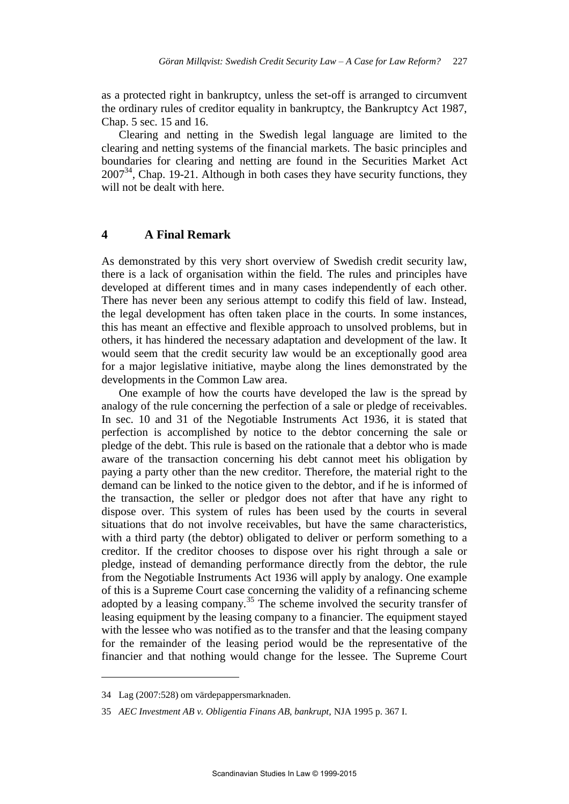as a protected right in bankruptcy, unless the set-off is arranged to circumvent the ordinary rules of creditor equality in bankruptcy, the Bankruptcy Act 1987, Chap. 5 sec. 15 and 16.

Clearing and netting in the Swedish legal language are limited to the clearing and netting systems of the financial markets. The basic principles and boundaries for clearing and netting are found in the Securities Market Act  $2007<sup>34</sup>$ . Chap. 19-21. Although in both cases they have security functions, they will not be dealt with here.

# **4 A Final Remark**

As demonstrated by this very short overview of Swedish credit security law, there is a lack of organisation within the field. The rules and principles have developed at different times and in many cases independently of each other. There has never been any serious attempt to codify this field of law. Instead, the legal development has often taken place in the courts. In some instances, this has meant an effective and flexible approach to unsolved problems, but in others, it has hindered the necessary adaptation and development of the law. It would seem that the credit security law would be an exceptionally good area for a major legislative initiative, maybe along the lines demonstrated by the developments in the Common Law area.

One example of how the courts have developed the law is the spread by analogy of the rule concerning the perfection of a sale or pledge of receivables. In sec. 10 and 31 of the Negotiable Instruments Act 1936, it is stated that perfection is accomplished by notice to the debtor concerning the sale or pledge of the debt. This rule is based on the rationale that a debtor who is made aware of the transaction concerning his debt cannot meet his obligation by paying a party other than the new creditor. Therefore, the material right to the demand can be linked to the notice given to the debtor, and if he is informed of the transaction, the seller or pledgor does not after that have any right to dispose over. This system of rules has been used by the courts in several situations that do not involve receivables, but have the same characteristics, with a third party (the debtor) obligated to deliver or perform something to a creditor. If the creditor chooses to dispose over his right through a sale or pledge, instead of demanding performance directly from the debtor, the rule from the Negotiable Instruments Act 1936 will apply by analogy. One example of this is a Supreme Court case concerning the validity of a refinancing scheme adopted by a leasing company.<sup>35</sup> The scheme involved the security transfer of leasing equipment by the leasing company to a financier. The equipment stayed with the lessee who was notified as to the transfer and that the leasing company for the remainder of the leasing period would be the representative of the financier and that nothing would change for the lessee. The Supreme Court

<sup>34</sup> Lag (2007:528) om värdepappersmarknaden.

<sup>35</sup> *AEC Investment AB v. Obligentia Finans AB, bankrupt,* NJA 1995 p. 367 I.